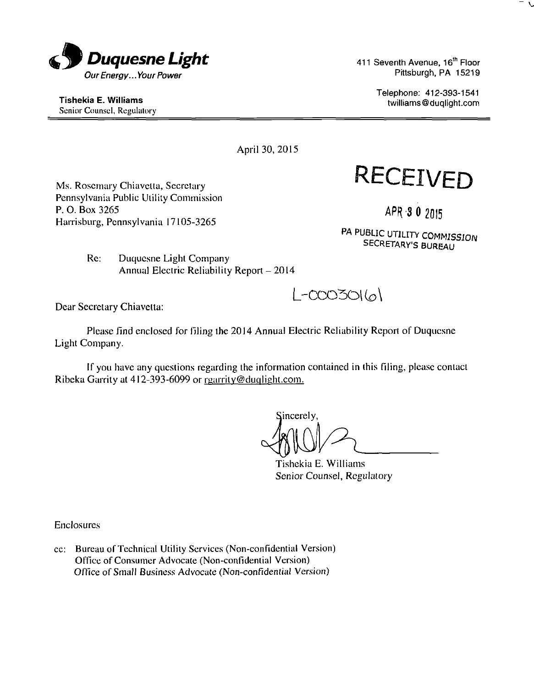

411 Seventh Avenue, 16<sup>th</sup> Floor Pittsburgh, PA 15219

> Telephone: 412-393-1541 twilliams@duqlight.com

Tishekia E. Williams Senior Counsel, Regulatory

April 30, 2015

**RECEIVED** 

Ms. Rosemary Chiavetta, Secretary Pennsylvania Public Utility Commission P. O. Box 3265 Harrisburg, Pennsylvania 17105-3265

APR-8 O2015

PA PUBLIC UTILITY COMMISSION SECRETARY'S BURBAU

Re: Duquesne Light Company Annual Electric Reliability Report - 2014

 $l$ -cco3o $(a)$ 

Dear Secretary Chiavetta:

Please find enclosed for filing the 2014 Annual Electric Reliability Report of Duquesne Light Company.

If you have any questions regarding the information contained in this filing, please contact Ribeka Garrity at  $412-393-6099$  or rgarrity@duqlight.com.

jincerely.

Tishekia E. Williams Senior Counsel, Regulatory

Enclosures

cc: Bureau of Technical Utility Services (Non-confidential Version) Office of Consumer Advocate (Non-confidential Version) Office of Small Business Advocate (Non-confidential Version)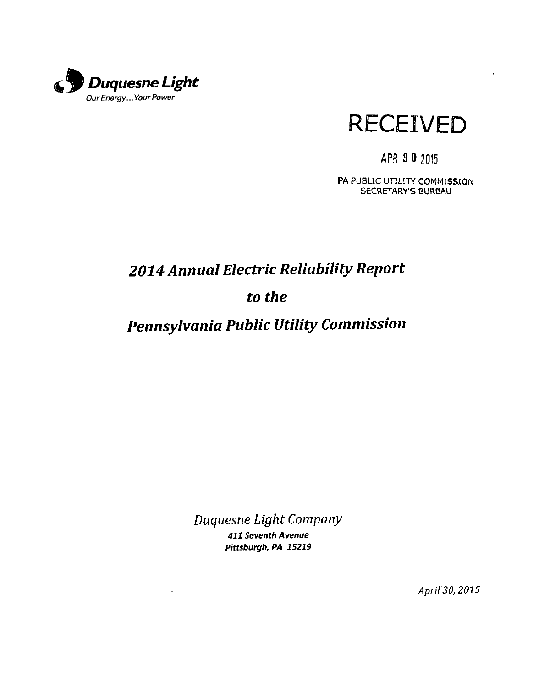



 $\mathbf{r}$ 

## APR. 3 0 2015

PA PUBLIC UTILITY COMMISSION SECRETARY'S BUREAU

# *2014 Annual Electric Reliability Report*

## *to the*

# *Pennsylvania Public Utility Commission*

*Duquesne Ught Company* 

411 Seventh Avenue Pittsburgh, PA 15219

 $\lambda$ 

April 30, 2015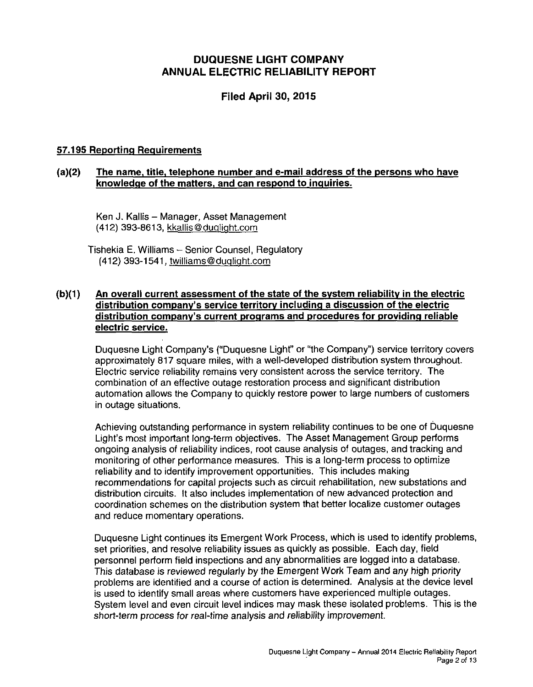## **DUQUESNE LIGHT COMPANY ANNUAL ELECTRIC RELIABILITY REPORT**

## **Filed April 30, 2015**

## **57.195 Reporting Requirements**

## **(a)(2) The name, title, telephone number and e-mail address of the persons who have knowledge of the matters, and can respond to inquiries.**

Ken J. Kallis - Manager, Asset Management (412) 393-8613, kkallis@duqliqht.com

Tishekia E. Williams - Senior Counsel, Regulatory (412) 393-1541, twilliams@duqliqht.com

## **(b)(1) An overall current assessment of the state of the svstem reliability in the electric distribution company's service territory including a discussion of the electric distribution company's current programs and procedures for providing reliable electric service.**

Duquesne Light Company's ("Duquesne Light" or "the Company") service territory covers approximately 817 square miles, with a well-developed distribution system throughout. Electric service reliability remains very consistent across the service territory. The combination of an effective outage restoration process and significant distribution automation allows the Company to quickly restore power to large numbers of customers in outage situations.

Achieving outstanding performance in system reliability continues to be one of Duquesne Light's most important long-term objectives. The Asset Management Group performs ongoing analysis of reliability indices, root cause analysis of outages, and tracking and monitoring of other performance measures. This is a long-term process to optimize reliability and to identify improvement opportunities. This includes making recommendations for capital projects such as circuit rehabilitation, new substations and distribution circuits. It also includes implementation of new advanced protection and coordination schemes on the distribution system that better localize customer outages and reduce momentary operations.

Duquesne Light continues its Emergent Work Process, which is used to identify problems, set priorities, and resolve reliability issues as quickly as possible. Each day, field personnel perform field inspections and any abnormalities are logged into a database. This database is reviewed regularly by the Emergent Work Team and any high priority problems are identified and a course of action is determined. Analysis at the device level is used to identify small areas where customers have experienced multiple outages. System level and even circuit level indices may mask these isolated problems. This is the short-term process for real-time analysis and reliability improvement.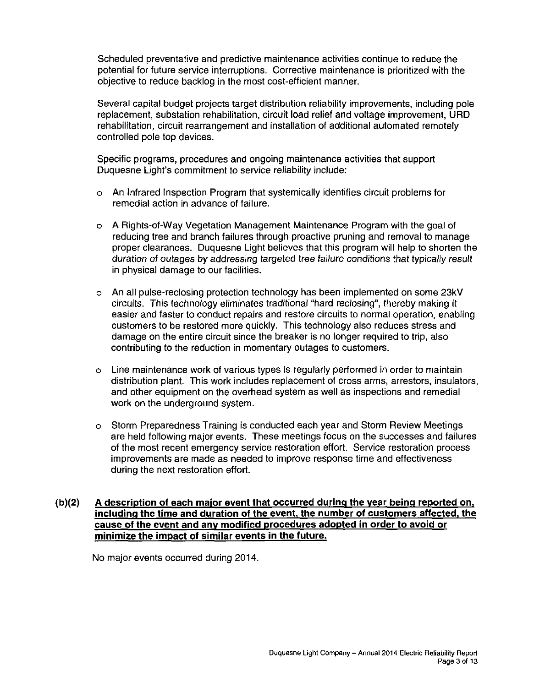Scheduled preventative and predictive maintenance activities continue to reduce the potential for future service interruptions. Corrective maintenance is prioritized with the objective to reduce backlog in the most cost-efficient manner.

Several capital budget projects target distribution reliability improvements, including pole replacement, substation rehabilitation, circuit load relief and voltage improvement, URD rehabilitation, circuit rearrangement and installation of additional automated remotely controlled pole top devices.

Specific programs, procedures and ongoing maintenance activities that support Duquesne Light's commitment to service reliability include:

- o An Infrared Inspection Program that systemically identifies circuit problems for remedial action in advance of failure.
- o A Rights-of-Way Vegetation Management Maintenance Program with the goal of reducing tree and branch failures through proactive pruning and removal to manage proper clearances. Duquesne Light believes that this program will help to shorten the duration of outages by addressing targeted tree failure conditions that typically result in physical damage to our facilities.
- o An all pulse-reclosing protection technology has been implemented on some 23kV circuits. This technology eliminates traditional "hard reclosing", thereby making it easier and faster to conduct repairs and restore circuits to normal operation, enabling customers to be restored more quickly. This technology also reduces stress and damage on the entire circuit since the breaker is no longer required to trip, also contributing to the reduction in momentary outages to customers.
- o Line maintenance work of various types is regularly performed in order to maintain distribution plant. This work includes replacement of cross arms, arresters, insulators, and other equipment on the overhead system as well as inspections and remedial work on the underground system.
- o Storm Preparedness Training is conducted each year and Storm Review Meetings are held following major events. These meetings focus on the successes and failures of the most recent emergency service restoration effort. Service restoration process improvements are made as needed to improve response time and effectiveness during the next restoration effort.

## **(b)(2) A description of each major event that occurred during the vear being reported on, including the time and duration of the event, the number of customers affected, the cause of the event and anv modified procedures adopted in order to avoid or minimize the impact of similar events in the future.**

No major events occurred during 2014.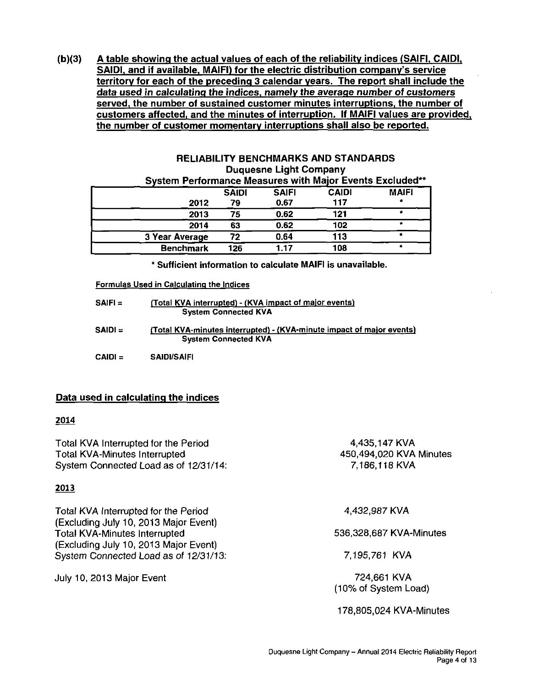**(b)(3) A table showing the actual values of each of the reliability indices (SAIFI. CAIDI, SAIDI, and if available. MAIFI) for the electric distribution company's service territory for each of the preceding 3 calendar years. The report shall include the data used in calculating the indices, namely the average number of customers served, the number of sustained customer minutes interruptions, the number of customers affected, and the minutes of interruption. If MAIFI values are provided, the number of customer momentary interruptions shall also be reported.** 

| <b>RELIABILITY BENCHMARKS AND STANDARDS</b>           |  |  |  |  |  |  |
|-------------------------------------------------------|--|--|--|--|--|--|
| <b>Duquesne Light Company</b>                         |  |  |  |  |  |  |
| ustam Deufaumanes Masoures with Moise Evants Evaludes |  |  |  |  |  |  |

| OVSICIII I CHOHIRAGE MCQSULCS MINI MAJOL ETCHIS EXCRUSCU |              |              |              |              |
|----------------------------------------------------------|--------------|--------------|--------------|--------------|
|                                                          | <b>SAIDI</b> | <b>SAIFI</b> | <b>CAIDI</b> | <b>MAIFI</b> |
| 2012                                                     | 79           | 0.67         | 117          |              |
| 2013                                                     | 75           | 0.62         | 121          |              |
| 2014                                                     | 63           | 0.62         | 102          |              |
| 3 Year Average                                           | 72           | 0.64         | 113          |              |
| <b>Benchmark</b>                                         | 126          | 1.17         | 108          |              |

\* Sufficient information to calculate MAIFI is unavailable.

#### Formulas Used in Calculating the Indices

| SAIFI = | (Total KVA interrupted) - (KVA impact of major events)<br><b>System Connected KVA</b>                |
|---------|------------------------------------------------------------------------------------------------------|
| SAIDI ≔ | (Total KVA-minutes interrupted) - (KVA-minute impact of major events)<br><b>System Connected KVA</b> |
| CAIDI = | <b>SAIDI/SAIFI</b>                                                                                   |

#### **Data used in calculating the indices**

#### **2014**

Total KVA Interrupted for the Period Total KVA-Minutes Interrupted System Connected Load as of 12/31/14: 4,435,147 KVA 7,186,118 KVA

#### **2013**

Total KVA Interrupted for the Period (Excluding July 10, 2013 Major Event) Total KVA-Minutes Interrupted (Excluding July 10, 2013 Major Event) System Connected Load as of 12/31/13:

July 10, 2013 Major Event

450,494,020 KVA Minutes

4,432,987 KVA

#### 536,328,687 KVA-Minutes

7,195,761 KVA

724,661 KVA (10% of System Load)

178,805,024 KVA-Minutes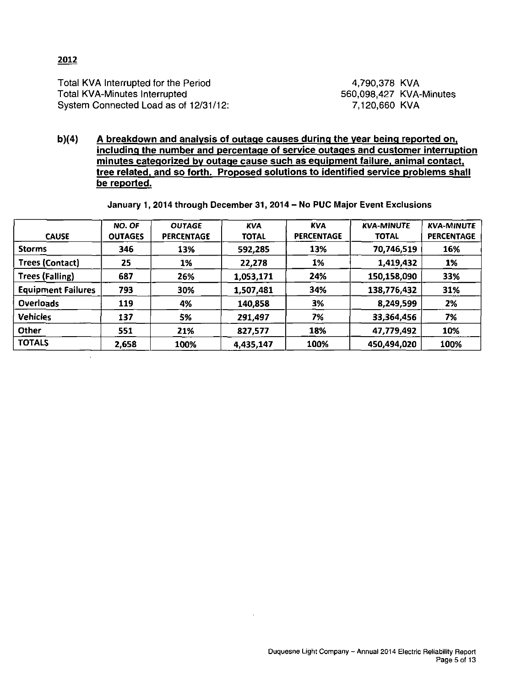## **2012**

 $\ddot{\phantom{a}}$ 

Total KVA Interrupted for the Period Total KVA-Minutes Interrupted System Connected Load as of 12/31/12:

4,790,378 KVA 560,098,427 KVA-Minutes 7,120,660 KVA

**b)(4) A breakdown and analysis of outage causes during the vear being reported on. including the number and percentage of service outages and customer interruption minutes categorized by outage cause such as eguipment failure, animal contact, tree related, and so forth. Proposed solutions to identified service problems shall be reported.** 

January 1, 2014 through December 31, 2014- No PUC Major Event Exclusions

| <b>CAUSE</b>              | NO. OF<br><b>OUTAGES</b> | <b>OUTAGE</b><br><b>PERCENTAGE</b> | <b>KVA</b><br><b>TOTAL</b> | <b>KVA</b><br><b>PERCENTAGE</b> | <b>KVA-MINUTE</b><br><b>TOTAL</b> | <b>KVA-MINUTE</b><br><b>PERCENTAGE</b> |
|---------------------------|--------------------------|------------------------------------|----------------------------|---------------------------------|-----------------------------------|----------------------------------------|
| <b>Storms</b>             | 346                      | 13%                                | 592,285                    | 13%                             | 70,746,519                        | 16%                                    |
| <b>Trees (Contact)</b>    | 25                       | 1%                                 | 22,278                     | 1%                              | 1,419,432                         | 1%                                     |
| <b>Trees (Falling)</b>    | 687                      | 26%                                | 1,053,171                  | 24%                             | 150,158,090                       | 33%                                    |
| <b>Equipment Failures</b> | 793                      | 30%                                | 1,507,481                  | 34%                             | 138,776,432                       | 31%                                    |
| <b>Overloads</b>          | 119                      | 4%                                 | 140,858                    | 3%                              | 8,249,599                         | 2%                                     |
| <b>Vehicles</b>           | 137                      | 5%                                 | 291,497                    | 7%                              | 33,364,456                        | 7%                                     |
| Other                     | 551                      | 21%                                | 827,577                    | 18%                             | 47,779,492                        | 10%                                    |
| <b>TOTALS</b>             | 2,658                    | 100%                               | 4,435,147                  | 100%                            | 450,494,020                       | 100%                                   |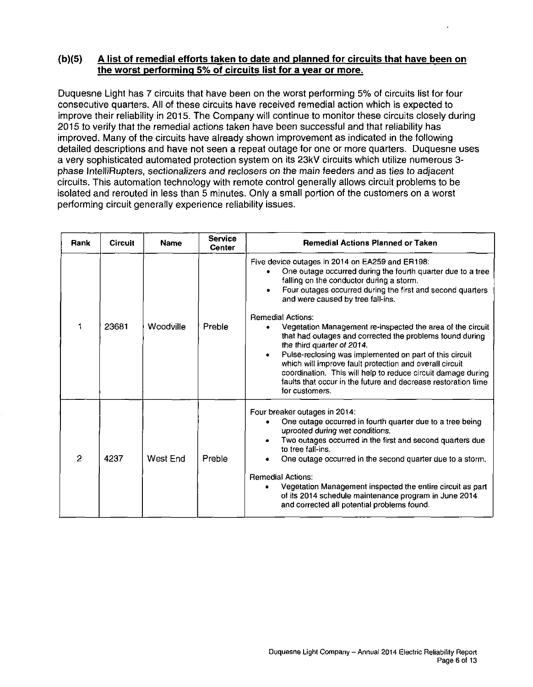## **(b)(5) A list of remedial efforts taken to date and planned for circuits that have been on the worst performing 5% of circuits list for a vear or more.**

Duquesne Light has 7 circuits that have been on the worst performing 5% of circuits list for four consecutive quarters. All of these circuits have received remedial action which is expected to improve their reliability in 2015. The Company will continue to monitor these circuits closely during 2015 to verify that the remedial actions taken have been successful and that reliability has improved. Many of the circuits have already shown improvement as indicated in the following detailed descriptions and have not seen a repeat outage for one or more quarters. Duquesne uses a very sophisticated automated protection system on its 23kV circuits which utilize numerous 3 phase IntelliRupters, sectionalizers and reclosers on the main feeders and as ties to adjacent circuits. This automation technology with remote control generally allows circuit problems to be isolated and rerouted in less than 5 minutes. Only a small portion of the customers on a worst performing circuit generally experience reliability issues.

| Rank           | Circuit | <b>Name</b> | <b>Service</b><br><b>Center</b> | <b>Remedial Actions Planned or Taken</b>                                                                                                                                                                                                                                                                                                                               |
|----------------|---------|-------------|---------------------------------|------------------------------------------------------------------------------------------------------------------------------------------------------------------------------------------------------------------------------------------------------------------------------------------------------------------------------------------------------------------------|
|                |         |             |                                 | Five device outages in 2014 on EA259 and ER198:<br>One outage occurred during the fourth quarter due to a tree<br>falling on the conductor during a storm.<br>Four outages occurred during the first and second quarters<br>and were caused by tree fall-ins.                                                                                                          |
| 1              | 23681   | Woodville   | Preble                          | <b>Remedial Actions:</b><br>Vegetation Management re-inspected the area of the circuit<br>that had outages and corrected the problems found during<br>the third quarter of 2014.<br>Pulse-reclosing was implemented on part of this circuit<br>which will improve fault protection and overall circuit<br>coordination. This will help to reduce circuit damage during |
|                |         |             |                                 | faults that occur in the future and decrease restoration time<br>for customers.                                                                                                                                                                                                                                                                                        |
|                |         |             |                                 | Four breaker outages in 2014:<br>One outage occurred in fourth quarter due to a tree being<br>uprooted during wet conditions.<br>Two outages occurred in the first and second quarters due<br>to tree fall-ins.                                                                                                                                                        |
| $\overline{2}$ | 4237    | West End    | Preble                          | One outage occurred in the second quarter due to a storm.                                                                                                                                                                                                                                                                                                              |
|                |         |             |                                 | <b>Remedial Actions:</b><br>Vegetation Management inspected the entire circuit as part<br>of its 2014 schedule maintenance program in June 2014<br>and corrected all potential problems found.                                                                                                                                                                         |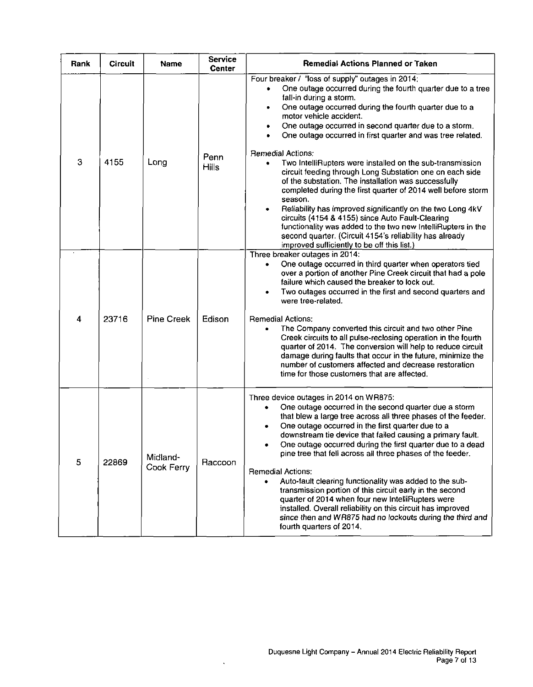| Rank                    | <b>Circuit</b> | <b>Name</b>            | Service<br><b>Center</b> | <b>Remedial Actions Planned or Taken</b>                                                                                                                                                                                                                                                                                                                                                                                                                                                                                                                                                                                                                                                                                                                                             |
|-------------------------|----------------|------------------------|--------------------------|--------------------------------------------------------------------------------------------------------------------------------------------------------------------------------------------------------------------------------------------------------------------------------------------------------------------------------------------------------------------------------------------------------------------------------------------------------------------------------------------------------------------------------------------------------------------------------------------------------------------------------------------------------------------------------------------------------------------------------------------------------------------------------------|
|                         |                |                        |                          | Four breaker / "loss of supply" outages in 2014:<br>One outage occurred during the fourth quarter due to a tree<br>fall-in during a storm.<br>One outage occurred during the fourth quarter due to a<br>$\bullet$<br>motor vehicle accident.<br>One outage occurred in second quarter due to a storm.<br>One outage occurred in first quarter and was tree related.                                                                                                                                                                                                                                                                                                                                                                                                                  |
| 3                       | 4155           | Long                   | Penn<br><b>Hills</b>     | <b>Remedial Actions:</b><br>Two IntelliRupters were installed on the sub-transmission<br>circuit feeding through Long Substation one on each side<br>of the substation. The installation was successfully<br>completed during the first quarter of 2014 well before storm<br>season.<br>Reliability has improved significantly on the two Long 4kV<br>circuits (4154 & 4155) since Auto Fault-Clearing<br>functionality was added to the two new IntelliRupters in the<br>second quarter. (Circuit 4154's reliability has already<br>improved sufficiently to be off this list.)                                                                                                                                                                                                     |
| $\overline{\mathbf{4}}$ | 23716          | <b>Pine Creek</b>      | Edison                   | Three breaker outages in 2014:<br>One outage occurred in third quarter when operators tied<br>٠<br>over a portion of another Pine Creek circuit that had a pole<br>failure which caused the breaker to lock out.<br>Two outages occurred in the first and second quarters and<br>were tree-related.<br><b>Remedial Actions:</b><br>The Company converted this circuit and two other Pine<br>Creek circuits to all pulse-reclosing operation in the fourth<br>quarter of 2014. The conversion will help to reduce circuit<br>damage during faults that occur in the future, minimize the<br>number of customers affected and decrease restoration<br>time for those customers that are affected.                                                                                      |
| 5                       | 22869          | Midland-<br>Cook Ferry | Raccoon                  | Three device outages in 2014 on WR875:<br>One outage occurred in the second quarter due a storm<br>٠<br>that blew a large tree across all three phases of the feeder.<br>One outage occurred in the first quarter due to a<br>downstream tie device that failed causing a primary fault.<br>One outage occurred during the first quarter due to a dead<br>pine tree that fell across all three phases of the feeder.<br><b>Remedial Actions:</b><br>Auto-fault clearing functionality was added to the sub-<br>transmission portion of this circuit early in the second<br>quarter of 2014 when four new IntelliRupters were<br>installed. Overall reliability on this circuit has improved<br>since then and WR875 had no lockouts during the third and<br>fourth quarters of 2014. |

 $\hat{\mathbf{v}}$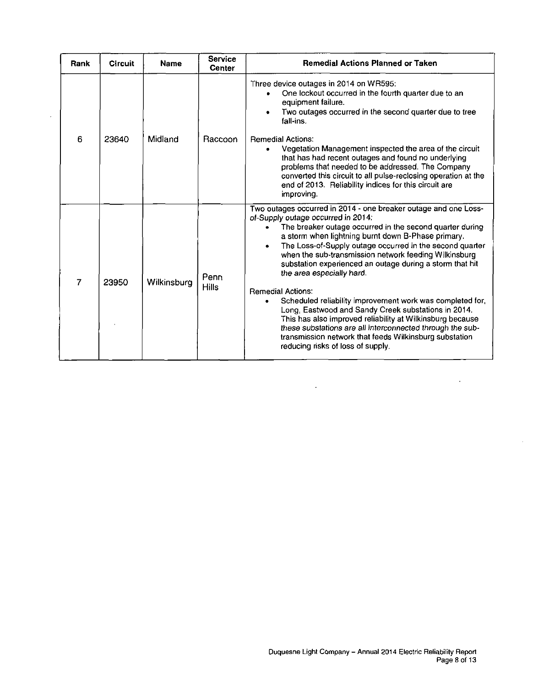| Rank           | <b>Circuit</b> | <b>Name</b> | <b>Service</b><br><b>Center</b> | <b>Remedial Actions Planned or Taken</b>                                                                                                                                                                                                                                                                                                                                                                                                                                                                                                                                                                                                                                                                                                                                                                       |
|----------------|----------------|-------------|---------------------------------|----------------------------------------------------------------------------------------------------------------------------------------------------------------------------------------------------------------------------------------------------------------------------------------------------------------------------------------------------------------------------------------------------------------------------------------------------------------------------------------------------------------------------------------------------------------------------------------------------------------------------------------------------------------------------------------------------------------------------------------------------------------------------------------------------------------|
| 6              | 23640          | Midland     | Raccoon                         | Three device outages in 2014 on WR595:<br>One lockout occurred in the fourth quarter due to an<br>equipment failure.<br>Two outages occurred in the second quarter due to tree<br>fall-ins.<br><b>Remedial Actions:</b><br>Vegetation Management inspected the area of the circuit<br>that has had recent outages and found no underlying<br>problems that needed to be addressed. The Company<br>converted this circuit to all pulse-reclosing operation at the<br>end of 2013. Reliability indices for this circuit are                                                                                                                                                                                                                                                                                      |
|                |                |             |                                 | improving.                                                                                                                                                                                                                                                                                                                                                                                                                                                                                                                                                                                                                                                                                                                                                                                                     |
| $\overline{7}$ | 23950          | Wilkinsburg | Penn<br><b>Hills</b>            | Two outages occurred in 2014 - one breaker outage and one Loss-<br>of-Supply outage occurred in 2014:<br>The breaker outage occurred in the second quarter during<br>a storm when lightning burnt down B-Phase primary.<br>The Loss-of-Supply outage occurred in the second quarter<br>when the sub-transmission network feeding Wilkinsburg<br>substation experienced an outage during a storm that hit<br>the area especially hard.<br><b>Remedial Actions:</b><br>Scheduled reliability improvement work was completed for,<br>Long, Eastwood and Sandy Creek substations in 2014.<br>This has also improved reliability at Wilkinsburg because<br>these substations are all interconnected through the sub-<br>transmission network that feeds Wilkinsburg substation<br>reducing risks of loss of supply. |

 $\mathbf{r}$ 

 $\ddot{\phantom{a}}$ 

 $\sim$   $\sim$ 

 $\hat{\mathcal{L}}$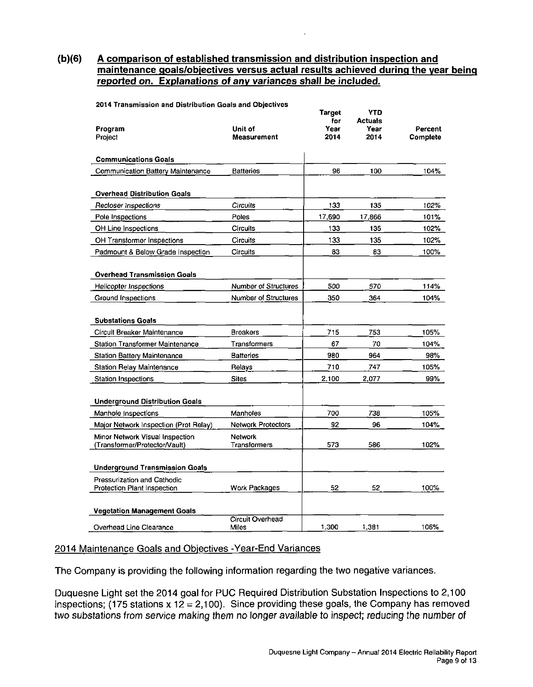**(b)(6) A comparison of established transmission and distribution inspection and maintenance goals/objectives versus actual results achieved during the vear being reported on. Explanations of anv variances shall be included.** 

|                                                                  |                                | <b>Target</b><br>for | <b>YTD</b><br><b>Actuals</b> |                     |
|------------------------------------------------------------------|--------------------------------|----------------------|------------------------------|---------------------|
| Program<br>Project                                               | Unit of<br><b>Measurement</b>  | Year<br>2014         | Year<br>2014                 | Percent<br>Complete |
|                                                                  |                                |                      |                              |                     |
| <b>Communications Goals</b>                                      |                                |                      |                              |                     |
| Communication Battery Maintenance                                | <b>Batteries</b>               | 96                   | 100                          | 104%                |
| <b>Overhead Distribution Goals</b>                               |                                |                      |                              |                     |
| Recloser Inspections                                             | Circuits                       | 133                  | 135                          | 102%                |
| Pole Inspections                                                 | Poles                          | 17.690               | 17,866                       | 101%                |
| OH Line Inspections                                              | <b>Circuits</b>                | 133                  | 135                          | 102%                |
| OH Transformer Inspections                                       | <b>Circuits</b>                | 133                  | 135                          | 102%                |
| Padmount & Below Grade Inspection                                | <b>Circuits</b>                | 83                   | 83                           | 100%                |
| <b>Overhead Transmission Goals</b>                               |                                |                      |                              |                     |
| Helicopter Inspections                                           | Number of Structures           | 500                  | 570                          | 114%                |
| Ground Inspections                                               | Number of Structures           | 350                  | 364                          | 104%                |
| <b>Substations Goals</b>                                         |                                |                      |                              |                     |
| Circuit Breaker Maintenance                                      | <b>Breakers</b>                | 715                  | 753                          | 105%                |
| <b>Station Transformer Maintenance</b>                           | Transformers                   | 67                   | 70                           | 104%                |
| <b>Station Battery Maintenance</b>                               | <b>Batteries</b>               | 980                  | 964                          | 98%                 |
| <b>Station Relay Maintenance</b>                                 | Relays                         | 710                  | 747                          | 105%                |
| <b>Station Inspections</b>                                       | <b>Sites</b>                   | 2.100                | 2.077                        | 99%                 |
| <b>Underground Distribution Goals</b>                            |                                |                      |                              |                     |
| Manhole Inspections                                              | Manholes                       | 700                  | 738                          | 105%                |
| Major Network Inspection (Prot Relay)                            | <b>Network Protectors</b>      | 92                   | 96                           | 104%                |
| Minor Network Visual Inspection<br>(Transformer/Protector/Vault) | <b>Network</b><br>Transformers | 573                  | 586                          | 102%                |
| <b>Underground Transmission Goals</b>                            |                                |                      |                              |                     |
| Pressurization and Cathodic<br>Protection Plant Inspection       | Work Packages                  | 52                   | 52                           | 100%                |
| <b>Vegetation Management Goals</b>                               |                                |                      |                              |                     |
|                                                                  | Circuit Overhead               |                      |                              |                     |
| Overhead Line Clearance                                          | Miles                          | 1.300                | 1.381                        | 106%                |

2014 Transmission and Distribution Goals and Objectives

#### 2014 Maintenance Goals and Objectives -Year-End Variances

The Company is providing the following information regarding the two negative variances.

Duquesne Light set the 2014 goal for PUC Required Distribution Substation Inspections to 2,100 inspections; (175 stations x 12 = 2,100). Since providing these goals, the Company has removed two substations from service making them no longer available to inspect; reducing the number of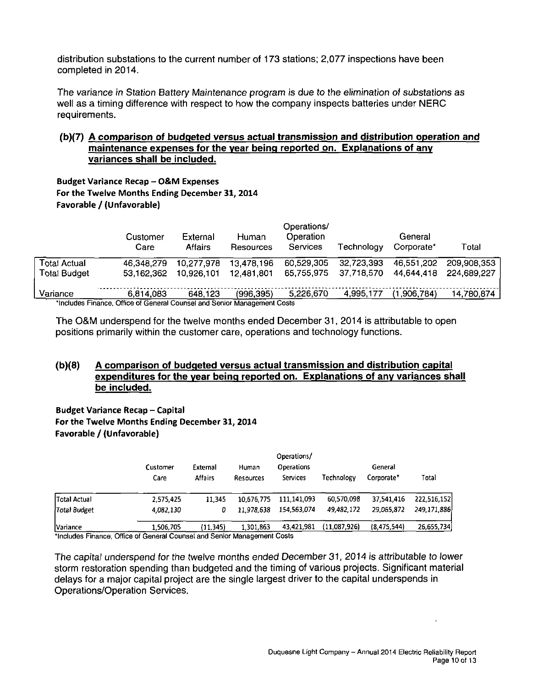distribution substations to the current number of 173 stations; 2,077 inspections have been completed in 2014.

The variance in Station Battery Maintenance program is due to the elimination of substations as well as a timing difference with respect to how the company inspects batteries under NERC requirements.

## **(b)(7) A comparison of budgeted versus actual transmission and distribution operation and maintenance expenses for the vear being reported on. Explanations of anv variances shall be included.**

Budget Variance Recap - O&M Expenses For the Twelve Months Ending December 31, 2014 Favorable / (Unfavorable)

|                     | Customer<br>Care                                                          | External<br>Affairs | Human<br>Resources | Operations/<br>Operation<br>Services | Technoloav | General<br>Corporate* | Total       |
|---------------------|---------------------------------------------------------------------------|---------------------|--------------------|--------------------------------------|------------|-----------------------|-------------|
| Гоtal Actual        | 46.348.279                                                                | 10.277.978          | 13,478,196         | 60.529.305                           | 32,723,393 | 46.551.202            | 209.908.353 |
| <b>Total Budget</b> | 53.162.362                                                                | 10.926.101          | 12.481,801         | 65.755.975                           | 37.718.570 | 44.644.418            | 224.689.227 |
| Variance            | 6.814.083                                                                 | 648.123             | (996.395)          | 5,226,670                            | 4.995.177  | (1.906.784)           | 14,780,874  |
|                     | *Includes Finance, Office of General Counsel and Senior Management Costs. |                     |                    |                                      |            |                       |             |

"Includes Finance, Office of General Counsel and Senior Management Costs

The O&M underspend for the twelve months ended December 31, 2014 is attributable to open positions primarily within the customer care, operations and technology functions.

## **(b)(8) A comparison of budgeted versus actual transmission and distribution capital expenditures for the vear being reported on. Explanations of anv variances shall be included.**

**Budget Variance Recap - Capital** For the Twelve Months Ending December 31, 2014 Favorable / (Unfavorable)

|                     | Customer  | External  | Human      | Operations/<br><b>Operations</b> |              | General     |             |
|---------------------|-----------|-----------|------------|----------------------------------|--------------|-------------|-------------|
|                     | Care      | Affairs   | Resources  | Services                         | Technology   | Corporate*  | Total       |
| <b>Total Actual</b> | 2,575,425 | 11.345    | 10.676,775 | 111,141,093                      | 60,570,098   | 37.541,416  | 222,516,152 |
| Total Budget        | 4,082,130 | 0         | 11.978.638 | 154,563,074                      | 49,482,172   | 29,065,872  | 249,171,886 |
| Variance            | 1,506,705 | (11, 345) | 1.301,863  | 43,421.981                       | (11,087,926) | (8,475,544) | 26,655,734  |

'Includes Finance, Office of General Counsel and Senior Management Costs

The capital underspend for the twelve months ended December 31, 2014 is attributable to lower storm restoration spending than budgeted and the timing of various projects. Significant material delays for a major capital project are the single largest driver to the capital underspends in Operations/Operation Services.

 $\Delta$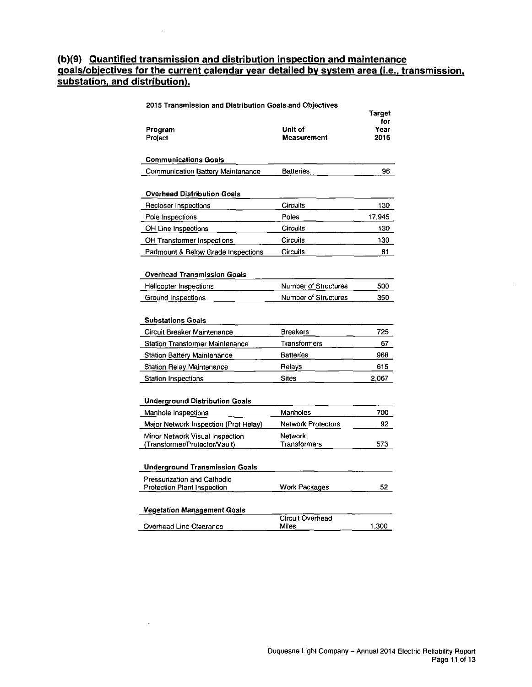## **(b)(9) Quantified transmission and distribution inspection and maintenance goals/objectives for the current calendar vear detailed by svstem area (i.e.. transmission, substation, and distribution).**

| Program<br>Project                     | Unit of<br><b>Measurement</b> | Target<br>for<br>Year<br>2015 |
|----------------------------------------|-------------------------------|-------------------------------|
| <b>Communications Goals</b>            |                               |                               |
| Communication Battery Maintenance      | <b>Batteries</b>              | 96                            |
| <b>Overhead Distribution Goals</b>     |                               |                               |
| Recloser Inspections                   | <b>Circuits</b>               | 130                           |
| Pole Inspections                       | Poles                         | 17,945                        |
| OH Line Inspections                    | <b>Circuits</b>               | 130                           |
| OH Transformer Inspections             | <b>Circuits</b>               | 130                           |
| Padmount & Below Grade Inspections     | <b>Circuits</b>               | 81                            |
| Overhead Transmission Goals            |                               |                               |
| Helicopter Inspections                 | Number of Structures          | 500                           |
| Ground Inspections                     | Number of Structures          | 350                           |
| <b>Substations Goals</b>               |                               |                               |
| Circuit Breaker Maintenance            | <b>Breakers</b>               | 725                           |
| <b>Station Transformer Maintenance</b> | Transformers                  | 67                            |
| <b>Station Battery Maintenance</b>     | <b>Batteries</b>              | 968                           |
| <b>Station Relay Maintenance</b>       | Relays                        | 615                           |
| <b>Station Inspections</b>             | <b>Sites</b>                  | 2,067                         |
| <b>Underground Distribution Goals</b>  |                               |                               |
| Manhole Inspections                    | Manholes                      | 700                           |
| Major Network Inspection (Prot Relay)  | <b>Network Protectors</b>     | 92                            |
| Minor Network Visual Inspection        | Network                       |                               |
| (Transformer/Protector/Vault)          | Transformers                  | 573                           |
| <b>Underground Transmission Goals</b>  |                               |                               |
| Pressurization and Cathodic            |                               |                               |
| Protection Plant Inspection            | Work Packages                 | 52                            |
| Vegetation Management Goals            |                               |                               |
| Overhead Line Clearance                | Circuit Overhead<br>Miles     | 1,300                         |
|                                        |                               |                               |

2015 Transmission and Distribution Goals and Objectives

 $\mathcal{L}$ 

 $\hat{\mathcal{L}}$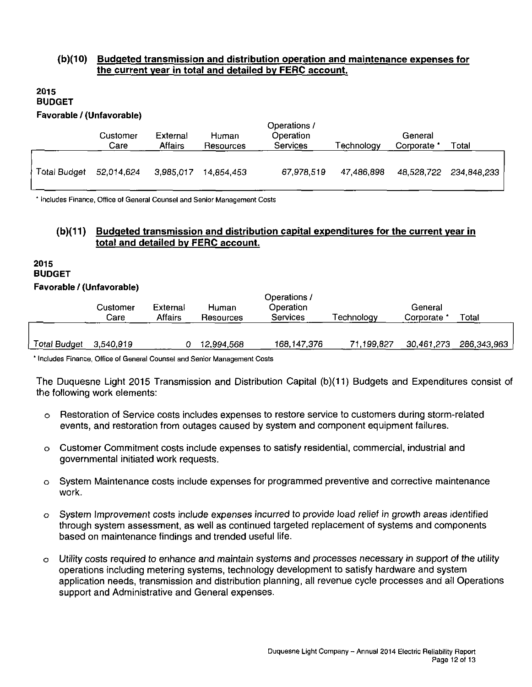## **(b)(10) Budgeted transmission and distribution operation and maintenance expenses for the current vear in total and detailed by FERC account.**

#### **2015 BUDGET Favorable / (Unfavorable)**

|              | Customer<br>Care | External<br><b>Affairs</b> | Human<br>Resources | Operations /<br>Operation<br><b>Services</b> | Technology | General<br>Corporate * | Total       |
|--------------|------------------|----------------------------|--------------------|----------------------------------------------|------------|------------------------|-------------|
| Total Budget | 52,014,624       | 3,985,017                  | 14.854.453         | 67,978,519                                   | 47,486,898 | 48,528,722             | 234,848,233 |

\* Includes Finance, Office of General Counsel and Senior Management Costs

## **(b)(11) Budgeted transmission and distribution capital expenditures for the current vear in total and detailed bv FERC account.**

#### **2015 BUDGET Favorable / (Unfavorable)**

|                     | Customer<br>Care | External<br>Affairs | Human<br>Resources | Operations /<br>Operation<br>Services | Technology | General<br>Corporate | Total       |
|---------------------|------------------|---------------------|--------------------|---------------------------------------|------------|----------------------|-------------|
| <b>Total Budget</b> | 3,540,919        |                     | 12,994.568         | 168,147,376                           | 71.199.827 | 30,461,273           | 286,343,963 |

\* Includes Finance, Office of General Counsel and Senior Management Costs

The Duquesne Light 2015 Transmission and Distribution Capital (b)(11) Budgets and Expenditures consist of the following work elements:

- Restoration of Service costs includes expenses to restore service to customers during storm-related events, and restoration from outages caused by system and component equipment failures.
- o Customer Commitment costs include expenses to satisfy residential, commercial, industrial and governmental initiated work requests.
- o System Maintenance costs include expenses for programmed preventive and corrective maintenance work.
- o System Improvement costs include expenses incurred to provide load relief in growth areas identified through system assessment, as well as continued targeted replacement of systems and components based on maintenance findings and trended useful life.
- o Utility costs required to enhance and maintain systems and processes necessary in support of the utility operations including metering systems, technology development to satisfy hardware and system application needs, transmission and distribution planning, all revenue cycle processes and all Operations support and Administrative and General expenses.